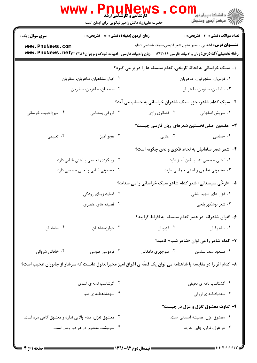|                                                                                                                 | <b>کارشناسی و کارشناسی ارشد</b><br>حضرت علی(ع): دانش راهبر نیکویی برای ایمان است |                                                                                                                                    | ڪ دانشڪاه پيا <sub>م</sub> نور ■<br>//> مرکز آزمون وسنڊش         |  |
|-----------------------------------------------------------------------------------------------------------------|----------------------------------------------------------------------------------|------------------------------------------------------------------------------------------------------------------------------------|------------------------------------------------------------------|--|
| <b>سری سوال :</b> یک ۱                                                                                          | <b>زمان آزمون (دقیقه) : تستی : 50 ٪ تشریحی : 0</b>                               |                                                                                                                                    | <b>تعداد سوالات : تستی : 30 ٪ تشریحی : 0</b>                     |  |
| www.PnuNews.com                                                                                                 |                                                                                  | <b>رشته تحصیلی/کد درس:</b> زبان و ادبیات فارسی ۱۲۱۳۰۴۶ - ،زبان وادبیات فارسی -ادبیات کودک ونوجوان۱۳۲۵۶( <b>www . PnuNews . net</b> | <b>عنـــوان درس:</b> آشنایی با سیر تحول شعر فارسی،سبک شناسی ۱نظم |  |
|                                                                                                                 |                                                                                  | ا- سبک خراسانی به لحاظ تاریخی، کدام سلسله ها را در بر می گیرد؟                                                                     |                                                                  |  |
| ۰۲ خوارزمشاهیان، طاهریان، صفاریان                                                                               |                                                                                  | ٠١ غزنويان، سلجوقيان، طاهريان                                                                                                      |                                                                  |  |
| ۰۴ سامانیان، طاهریان، صفاریان                                                                                   |                                                                                  | ۰۳ سامانیان، صفویان، طاهریان                                                                                                       |                                                                  |  |
| ۲- سبک کدام شاعر، جزو سبک شاعران خراسانی به حساب می آید؟                                                        |                                                                                  |                                                                                                                                    |                                                                  |  |
| ۰۴ میرزاحبیب خراسانی                                                                                            | ۰۳ فروغی بسطامی                                                                  | ۰۲ غضائری رازی                                                                                                                     | ٠١. سروش اصفهاني                                                 |  |
|                                                                                                                 |                                                                                  |                                                                                                                                    | <b>۳</b> - مضمون اصلی نخستین شعرهای زبان فارسی چیست؟             |  |
| ۰۴ تعلیمی                                                                                                       | ۰۳ هجو آميز                                                                      | ۰۲ غنایی                                                                                                                           | ۰۱ حماسی                                                         |  |
|                                                                                                                 |                                                                                  |                                                                                                                                    | ۴- شعر عصر سامانیان به لحاظ فکری و لحن چگونه است؟                |  |
| ۰۲ رویکردی تعلیمی و لحنی غنایی دارد.                                                                            |                                                                                  | ٠١ لحنى حماسى تند و طعن آميز دارد.                                                                                                 |                                                                  |  |
|                                                                                                                 | ۰۴ مضمونی غنایی و لحنی حماسی دارد.                                               | ۰۳ مضمونی تعلیمی و لحنی حماسی دارند.                                                                                               |                                                                  |  |
|                                                                                                                 |                                                                                  | ۵– «فرخّی سیستانی» شعر کدام شاعر سبک خراسانی را می ستاید؟                                                                          |                                                                  |  |
| ۰۲ قصاید زیبای رودکی                                                                                            |                                                                                  | ۰۱ غزل های شهید بلخی                                                                                                               |                                                                  |  |
|                                                                                                                 | ۰۴ قصیده های عنصری                                                               | ۰۳ شعر بوشکور بلخی                                                                                                                 |                                                                  |  |
|                                                                                                                 |                                                                                  |                                                                                                                                    | ۶– اغراق شاعرانه در عصر کدام سلسله به افراط گرایید؟              |  |
| ۰۴ سامانيان                                                                                                     | ۰۳ خوارزمشاهیان                                                                  | ۰۲ غزنويان                                                                                                                         | ٠١ سلجوقيان                                                      |  |
|                                                                                                                 |                                                                                  |                                                                                                                                    | ۷- کدام شاعر را می توان «شاعر شب» نامید؟                         |  |
| ۰۴ خاقانی شروانی                                                                                                | ۰۳ فردوسی طوسی                                                                   | ۰۲ منوچهری دامغانی                                                                                                                 | ٠١ مسعود سعد سلمان                                               |  |
| ۸– کدام اثر را در مقایسه با شاهنامه می توان یک قصّه ی اغراق امیز محیرالعقول دانست که سرشار از جانوران عجیب است؟ |                                                                                  |                                                                                                                                    |                                                                  |  |
|                                                                                                                 | ۰۲ گرشاسب نامه ی اسدی                                                            |                                                                                                                                    | ۰۱ گشتاسب نامه ی دقیقی                                           |  |
|                                                                                                                 | ۰۴ شهنشاهنامه ی صبا                                                              |                                                                                                                                    | ۰۳ سندبادنامه ی ازرقی                                            |  |
|                                                                                                                 |                                                                                  |                                                                                                                                    | ۹- تفاوت معشوق تغزل و غزل در چیست؟                               |  |
| ۰۲ معشوق تغزل، مقام والایی ندارد و معشوق گاهی مرد است.                                                          |                                                                                  |                                                                                                                                    | ۰۱ معشوق غزل، همیشه آسمانی است.                                  |  |
|                                                                                                                 | ۰۴ سرنوشت معشوق در هر دو، وصل است.                                               |                                                                                                                                    | ۰۳ در غزل، فراق، جایی ندارد.                                     |  |
|                                                                                                                 |                                                                                  |                                                                                                                                    |                                                                  |  |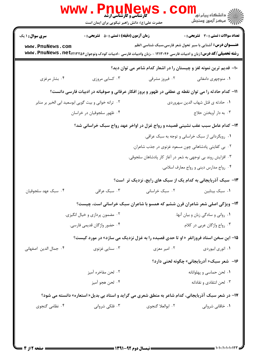|                                                                                                             | <b>IUNE</b><br><b>گارشناسی و کارشناسی ارشد</b><br>حضرت علی(ع): دانش راهبر نیکویی برای ایمان است |                                                                                                                            | ڪ دانشڪاه پيام نور<br>7- مرڪز آزمون وسنڊش                        |  |  |
|-------------------------------------------------------------------------------------------------------------|-------------------------------------------------------------------------------------------------|----------------------------------------------------------------------------------------------------------------------------|------------------------------------------------------------------|--|--|
| <b>سری سوال : ۱ یک</b>                                                                                      | <b>زمان آزمون (دقیقه) : تستی : 50 ٪ تشریحی : 0</b>                                              |                                                                                                                            | <b>تعداد سوالات : تستی : 30 ٪ تشریحی : 0</b>                     |  |  |
| www.PnuNews.com                                                                                             |                                                                                                 | <b>رشته تحصیلی/کد درس:</b> زبان و ادبیات فارسی ۱۲۱۳۰۴۶ - ،زبان وادبیات فارسی -ادبیات کودک ونوجوان۱۳۲۵۶×www . PnuNews . net | <b>عنـــوان درس:</b> آشنایی با سیر تحول شعر فارسی،سبک شناسی ۱نظم |  |  |
| ۱۰– قدیم ترین نمونه لغز و چیستان را در اشعار کدام شاعر می توان دید؟                                         |                                                                                                 |                                                                                                                            |                                                                  |  |  |
| ۰۴ بشار مرغزی                                                                                               | ۰۳ کسایی مروزی                                                                                  | ۰۲ فیروز مشرقی                                                                                                             | ۰۱ منوچهری دامغانی                                               |  |  |
|                                                                                                             |                                                                                                 | 11– کدام حادثه را می توان نقطه ی عطفی در ظهور و بروز افکار عرفانی و صوفیانه در ادبیات فارسی دانست؟                         |                                                                  |  |  |
| ٠١ حادثه ي قتل شهاب الدين سهروردي<br>۰۲ ترانه خوانی و بیت گویی ابوسعید ابی الخیر بر منابر                   |                                                                                                 |                                                                                                                            |                                                                  |  |  |
|                                                                                                             | ۰۴ ظهور سلجوقیان در خراسان                                                                      |                                                                                                                            | ۰۳ به دار آویختن حلاج                                            |  |  |
| ۱۲- کدام عامل سبب عقب نشینی قصیده و رواج غزل در اواخر عهد رواج سبک خراسانی شد؟                              |                                                                                                 |                                                                                                                            |                                                                  |  |  |
|                                                                                                             |                                                                                                 |                                                                                                                            | ۰۱ رویگردانی از سبک خراسانی و توجه به سبک عراقی.                 |  |  |
|                                                                                                             |                                                                                                 | ۰۲ بی کفایتی پادشاهانی چون مسعود غزنوی در جذب شاعران.                                                                      |                                                                  |  |  |
|                                                                                                             |                                                                                                 | ۰۳ افزایش روند بی توجهی به شعر در آغاز کار پادشاهان سلجوقی.                                                                |                                                                  |  |  |
|                                                                                                             |                                                                                                 |                                                                                                                            | ۰۴ رواج مدارس دینی و رواج معارف اسلامی.                          |  |  |
|                                                                                                             |                                                                                                 | ۱۳- سبک آذربایجانی به کدام یک از سبک های رایج، نزدیک تر است؟                                                               |                                                                  |  |  |
| ۰۴ سبک عهد سلجوقيان                                                                                         | ۰۳ سبک عراقی                                                                                    | ۰۲ سبک خراسانی                                                                                                             | ۰۱ سبک بینابین                                                   |  |  |
|                                                                                                             |                                                                                                 | ۱۴- ویژگی اصلی شعر شاعران قرن ششم که همسو با شاعران سبک خراسانی است، چیست؟                                                 |                                                                  |  |  |
|                                                                                                             | ۰۲ مضمون پردازی و خیال انگیزی.                                                                  |                                                                                                                            | ٠١ رواني و سادگي زبان و بيان آنها.                               |  |  |
|                                                                                                             | ۰۴ حضور واژگان قدیمی فارسی.                                                                     |                                                                                                                            | ٠٣ رواج واژگان عربي در كلام.                                     |  |  |
|                                                                                                             |                                                                                                 | <b>۱۵- این سخن استاد فروزانفر «او تا حدی قصیده را به غزل نزدیک می سازد» در مورد کیست؟</b>                                  |                                                                  |  |  |
| ۰۴ جمال الدين اصفهاني                                                                                       | ۰۳ سنایی غزنوی                                                                                  | ۰۲ امیر معزی                                                                                                               | ٠١ انوري ابيوردي                                                 |  |  |
|                                                                                                             |                                                                                                 |                                                                                                                            | ۱۶– شعر سبک« آدربایجانی» چگونه لحنی دارد؟                        |  |  |
|                                                                                                             | ۰۲ لحن مفاخره آمیز                                                                              |                                                                                                                            | ۰۱ لحن حماسي و پهلوانانه                                         |  |  |
|                                                                                                             | ۰۴ لحن هجو آميز                                                                                 |                                                                                                                            | ۰۳ لحن انتقادی و نقادانه                                         |  |  |
| <b>۱۷</b> - در شعر سبک آذربایجانی، کدام شاعر به منطق شعری می گراید و استاد بی بدیل« استعاره» دانسته می شود؟ |                                                                                                 |                                                                                                                            |                                                                  |  |  |
| ۰۴ نظامی گنجوی                                                                                              | ۰۳ فلکی شروانی                                                                                  | ٢. ابوالعلا گنجوي                                                                                                          | ۰۱ خاقانی شروانی                                                 |  |  |
|                                                                                                             |                                                                                                 |                                                                                                                            |                                                                  |  |  |
|                                                                                                             |                                                                                                 |                                                                                                                            |                                                                  |  |  |

 $= 1 - 1 - 1 - 1 - 17$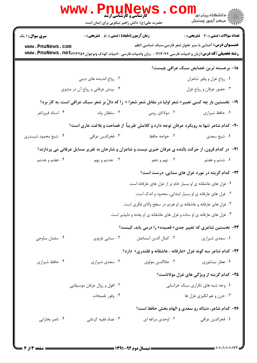|                                                                                                         | <b>MUNEW</b><br>کارشناسی و کارشناسی ارشد<br>حضرت علی(ع): دانش راهبر نیکویی برای ایمان است                                     |                                                                      |                                                                  |  |
|---------------------------------------------------------------------------------------------------------|-------------------------------------------------------------------------------------------------------------------------------|----------------------------------------------------------------------|------------------------------------------------------------------|--|
| <b>سری سوال : ۱ یک</b>                                                                                  | زمان آزمون (دقیقه) : تستی : ۵۰٪ تشریحی : ۰                                                                                    |                                                                      | <b>تعداد سوالات : تستی : 30 - تشریحی : 0</b>                     |  |
| www.PnuNews.com                                                                                         |                                                                                                                               |                                                                      | <b>عنـــوان درس:</b> آشنایی با سیر تحول شعر فارسی،سبک شناسی ۱نظم |  |
|                                                                                                         | <b>رشته تحصیلی/کد درس: ز</b> بان و ادبیات فارسی ۱۲۱۳۰۴۶ - ،زبان وادبیات فارسی -ادبیات کودک ونوجوان۱۳۲۵۶/۲۳۲۵۶ . www . PnuNews |                                                                      |                                                                  |  |
|                                                                                                         |                                                                                                                               |                                                                      | ۱۸- برجسته ترین خصایص سبک عراقی چیست؟                            |  |
|                                                                                                         | ۰۲ رواج اندیشه های دینی                                                                                                       |                                                                      | ٠١ رواج غزل و وفور شاعران                                        |  |
|                                                                                                         | ۰۴ بینش عرفانی و رواج آن در مثنوی                                                                                             |                                                                      | ۰۳ حضور عرفان و رواج غزل                                         |  |
| ۱۹- نخستین بار چه کسی تعبیر« شعر اولیا در مقابل شعر شعرا » را که دالّ بر شعر سبک عراقی است، به کار برد؟ |                                                                                                                               |                                                                      |                                                                  |  |
| ۰۴ استاد فروزانفر                                                                                       | ۰۳ سلطان ولد                                                                                                                  | ۰۲ مولانای رومی                                                      | ٠١. حافظ شيرازي                                                  |  |
| +۲- کدام شاعر تنها به رویکرد عرفان توجه دارد و کلامش تقریباً از فصاحت و بلاغت عاری است؟                 |                                                                                                                               |                                                                      |                                                                  |  |
| ۰۴ شیخ محمود شیستری                                                                                     | ۰۳ فخرالدين عراقي                                                                                                             | ۰۲ خواجه حافظ                                                        | ٠١ شيخ سعدي                                                      |  |
|                                                                                                         | <b>۲۱</b> - در کدام قرون، از حرکت بالنده ی عرفان خبری نیست و شاعران و شارحان به تقریر مسایل عرفانی می پردازند؟                |                                                                      |                                                                  |  |
| ۰۴ هفتم و هشتم                                                                                          | ۰۳ هشتم و نهم                                                                                                                 | ۰۲ نهم و دهم                                                         | ۰۱ ششم و هفتم                                                    |  |
|                                                                                                         |                                                                                                                               |                                                                      | ۲۲- کدام گزینه در مورد غزل های سنایی، درست است؟                  |  |
|                                                                                                         |                                                                                                                               | ۰۱ غزل های عاشقانه ی او بسیار خام تر از غزل های عارفانه است.         |                                                                  |  |
|                                                                                                         |                                                                                                                               | ۰۲ غزل های عارفانه ی او بسیار ابتدایی، محدود و اندک است.             |                                                                  |  |
|                                                                                                         | ۰۳ غزل های عارفانه و عاشقانه ی او هردو در سطح والای فکری است.                                                                 |                                                                      |                                                                  |  |
|                                                                                                         | ۰۴ غزل های عارفانه ی او ساده و غزل های عاشقانه ی او پخته و دلپذیر است.                                                        |                                                                      |                                                                  |  |
|                                                                                                         |                                                                                                                               | <b>۲۳</b> - نخستین شاعری که تغییر جدی« قصیده» را درمی یابد، کیست؟    |                                                                  |  |
| ۰۴ سلمان ساوجي                                                                                          | ۰۳ سنایی غزنوی                                                                                                                | ٠٢ كمال الدين اسماعيل                                                | ۰۱ سعدی شیرازی                                                   |  |
|                                                                                                         |                                                                                                                               | <b>۲۴</b> - کدام شاعر سه گونه غزل «عارفانه ، عاشقانه و قلندری» دارد؟ |                                                                  |  |
| ۰۴ حافظ شیرازی                                                                                          | ۰۳ سعدی شیرازی                                                                                                                | ۰۲ جلاالدين مولوي                                                    | ۰۱ عطار نیشابوری                                                 |  |
|                                                                                                         |                                                                                                                               |                                                                      | ۲۵- کدام گزینه از ویژگی های غزل مولاناست؟                        |  |
|                                                                                                         | ۰۲ افول و زوال عرفان موسيقايي                                                                                                 |                                                                      | ۰۱ وجه شبه های تکراری سبک خراسانی                                |  |
|                                                                                                         | ۰۴ وفور تلميحات                                                                                                               |                                                                      | ۰۳ حزن و غم انگیزی غزل ها                                        |  |
|                                                                                                         |                                                                                                                               |                                                                      | <b>۲۶- کدام شاعر، دنباله رو سعدی و الهام بخش حافظ است؟</b>       |  |
| ۰۴ ناصر بخارایی                                                                                         | ۰۳ عماد فقیه کرمانی                                                                                                           | ۰۲ اوحدی مراغه ای                                                    | ٠١ فخرالدين عراقي                                                |  |
|                                                                                                         |                                                                                                                               |                                                                      |                                                                  |  |